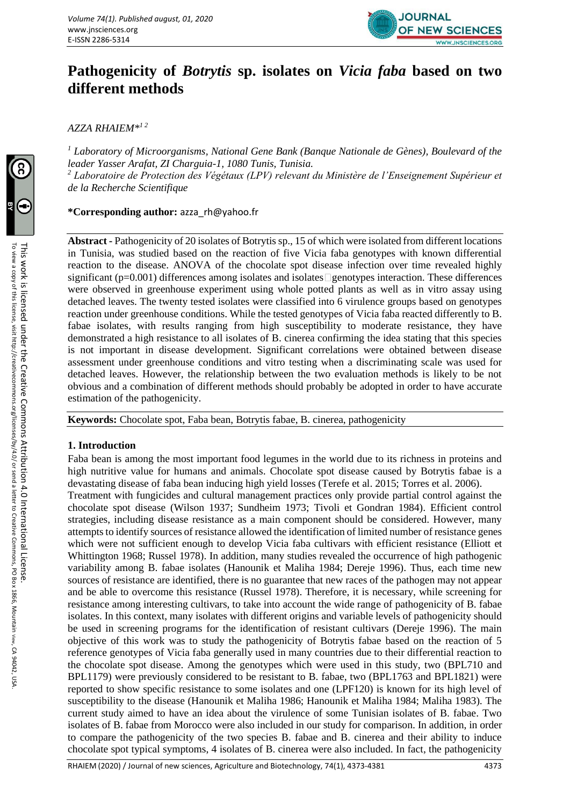

# **Pathogenicity of** *Botrytis* **sp. isolates on** *Vicia faba* **based on two different methods**

*AZZA RHAIEM\*1 2*

*<sup>1</sup> Laboratory of Microorganisms, National Gene Bank (Banque Nationale de Gènes), Boulevard of the leader Yasser Arafat, ZI Charguia-1, 1080 Tunis, Tunisia. <sup>2</sup> Laboratoire de Protection des Végétaux (LPV) relevant du Ministère de l'Enseignement Supérieur et de la Recherche Scientifique*

# **\*Corresponding author:** azza\_rh@yahoo.fr

**Abstract -** Pathogenicity of 20 isolates of Botrytis sp., 15 of which were isolated from different locations in Tunisia, was studied based on the reaction of five Vicia faba genotypes with known differential reaction to the disease. ANOVA of the chocolate spot disease infection over time revealed highly significant ( $p=0.001$ ) differences among isolates and isolates genotypes interaction. These differences were observed in greenhouse experiment using whole potted plants as well as in vitro assay using detached leaves. The twenty tested isolates were classified into 6 virulence groups based on genotypes reaction under greenhouse conditions. While the tested genotypes of Vicia faba reacted differently to B. fabae isolates, with results ranging from high susceptibility to moderate resistance, they have demonstrated a high resistance to all isolates of B. cinerea confirming the idea stating that this species is not important in disease development. Significant correlations were obtained between disease assessment under greenhouse conditions and vitro testing when a discriminating scale was used for detached leaves. However, the relationship between the two evaluation methods is likely to be not obvious and a combination of different methods should probably be adopted in order to have accurate estimation of the pathogenicity.

**Keywords:** Chocolate spot, Faba bean, Botrytis fabae, B. cinerea, pathogenicity

# **1. Introduction**

Faba bean is among the most important food legumes in the world due to its richness in proteins and high nutritive value for humans and animals. Chocolate spot disease caused by Botrytis fabae is a devastating disease of faba bean inducing high yield losses (Terefe et al. 2015; Torres et al. 2006).

Treatment with fungicides and cultural management practices only provide partial control against the chocolate spot disease (Wilson 1937; Sundheim 1973; Tivoli et Gondran 1984). Efficient control strategies, including disease resistance as a main component should be considered. However, many attempts to identify sources of resistance allowed the identification of limited number of resistance genes which were not sufficient enough to develop Vicia faba cultivars with efficient resistance (Elliott et Whittington 1968; Russel 1978). In addition, many studies revealed the occurrence of high pathogenic variability among B. fabae isolates (Hanounik et Maliha 1984; Dereje 1996). Thus, each time new sources of resistance are identified, there is no guarantee that new races of the pathogen may not appear and be able to overcome this resistance (Russel 1978). Therefore, it is necessary, while screening for resistance among interesting cultivars, to take into account the wide range of pathogenicity of B. fabae isolates. In this context, many isolates with different origins and variable levels of pathogenicity should be used in screening programs for the identification of resistant cultivars (Dereje 1996). The main objective of this work was to study the pathogenicity of Botrytis fabae based on the reaction of 5 reference genotypes of Vicia faba generally used in many countries due to their differential reaction to the chocolate spot disease. Among the genotypes which were used in this study, two (BPL710 and BPL1179) were previously considered to be resistant to B. fabae, two (BPL1763 and BPL1821) were reported to show specific resistance to some isolates and one (LPF120) is known for its high level of susceptibility to the disease (Hanounik et Maliha 1986; Hanounik et Maliha 1984; Maliha 1983). The current study aimed to have an idea about the virulence of some Tunisian isolates of B. fabae. Two isolates of B. fabae from Morocco were also included in our study for comparison. In addition, in order to compare the pathogenicity of the two species B. fabae and B. cinerea and their ability to induce chocolate spot typical symptoms, 4 isolates of B. cinerea were also included. In fact, the pathogenicity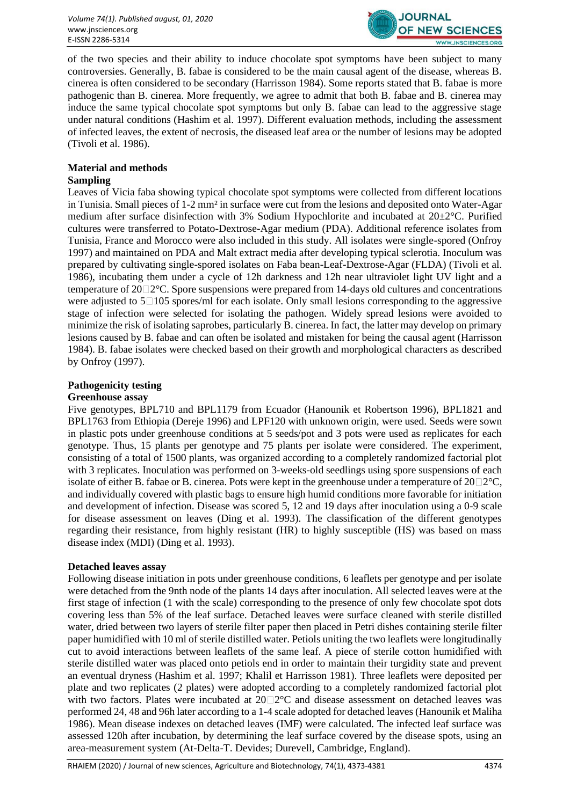

of the two species and their ability to induce chocolate spot symptoms have been subject to many controversies. Generally, B. fabae is considered to be the main causal agent of the disease, whereas B. cinerea is often considered to be secondary (Harrisson 1984). Some reports stated that B. fabae is more pathogenic than B. cinerea. More frequently, we agree to admit that both B. fabae and B. cinerea may induce the same typical chocolate spot symptoms but only B. fabae can lead to the aggressive stage under natural conditions (Hashim et al. 1997). Different evaluation methods, including the assessment of infected leaves, the extent of necrosis, the diseased leaf area or the number of lesions may be adopted (Tivoli et al. 1986).

# **Material and methods**

## **Sampling**

Leaves of Vicia faba showing typical chocolate spot symptoms were collected from different locations in Tunisia. Small pieces of 1-2 mm² in surface were cut from the lesions and deposited onto Water-Agar medium after surface disinfection with 3% Sodium Hypochlorite and incubated at 20±2°C. Purified cultures were transferred to Potato-Dextrose-Agar medium (PDA). Additional reference isolates from Tunisia, France and Morocco were also included in this study. All isolates were single-spored (Onfroy 1997) and maintained on PDA and Malt extract media after developing typical sclerotia. Inoculum was prepared by cultivating single-spored isolates on Faba bean-Leaf-Dextrose-Agar (FLDA) (Tivoli et al. 1986), incubating them under a cycle of 12h darkness and 12h near ultraviolet light UV light and a temperature of  $20\degree$   $2^\degree$ C. Spore suspensions were prepared from 14-days old cultures and concentrations were adjusted to  $5 \square 105$  spores/ml for each isolate. Only small lesions corresponding to the aggressive stage of infection were selected for isolating the pathogen. Widely spread lesions were avoided to minimize the risk of isolating saprobes, particularly B. cinerea. In fact, the latter may develop on primary lesions caused by B. fabae and can often be isolated and mistaken for being the causal agent (Harrisson 1984). B. fabae isolates were checked based on their growth and morphological characters as described by Onfroy (1997).

## **Pathogenicity testing**

#### **Greenhouse assay**

Five genotypes, BPL710 and BPL1179 from Ecuador (Hanounik et Robertson 1996), BPL1821 and BPL1763 from Ethiopia (Dereje 1996) and LPF120 with unknown origin, were used. Seeds were sown in plastic pots under greenhouse conditions at 5 seeds/pot and 3 pots were used as replicates for each genotype. Thus, 15 plants per genotype and 75 plants per isolate were considered. The experiment, consisting of a total of 1500 plants, was organized according to a completely randomized factorial plot with 3 replicates. Inoculation was performed on 3-weeks-old seedlings using spore suspensions of each isolate of either B. fabae or B. cinerea. Pots were kept in the greenhouse under a temperature of  $20\square 2^{\circ}\mathsf{C}$ , and individually covered with plastic bags to ensure high humid conditions more favorable for initiation and development of infection. Disease was scored 5, 12 and 19 days after inoculation using a 0-9 scale for disease assessment on leaves (Ding et al. 1993). The classification of the different genotypes regarding their resistance, from highly resistant (HR) to highly susceptible (HS) was based on mass disease index (MDI) (Ding et al. 1993).

#### **Detached leaves assay**

Following disease initiation in pots under greenhouse conditions, 6 leaflets per genotype and per isolate were detached from the 9nth node of the plants 14 days after inoculation. All selected leaves were at the first stage of infection (1 with the scale) corresponding to the presence of only few chocolate spot dots covering less than 5% of the leaf surface. Detached leaves were surface cleaned with sterile distilled water, dried between two layers of sterile filter paper then placed in Petri dishes containing sterile filter paper humidified with 10 ml of sterile distilled water. Petiols uniting the two leaflets were longitudinally cut to avoid interactions between leaflets of the same leaf. A piece of sterile cotton humidified with sterile distilled water was placed onto petiols end in order to maintain their turgidity state and prevent an eventual dryness (Hashim et al. 1997; Khalil et Harrisson 1981). Three leaflets were deposited per plate and two replicates (2 plates) were adopted according to a completely randomized factorial plot with two factors. Plates were incubated at  $20\degree\text{2}^\circ\text{C}$  and disease assessment on detached leaves was performed 24, 48 and 96h later according to a 1-4 scale adopted for detached leaves (Hanounik et Maliha 1986). Mean disease indexes on detached leaves (IMF) were calculated. The infected leaf surface was assessed 120h after incubation, by determining the leaf surface covered by the disease spots, using an area-measurement system (At-Delta-T. Devides; Durevell, Cambridge, England).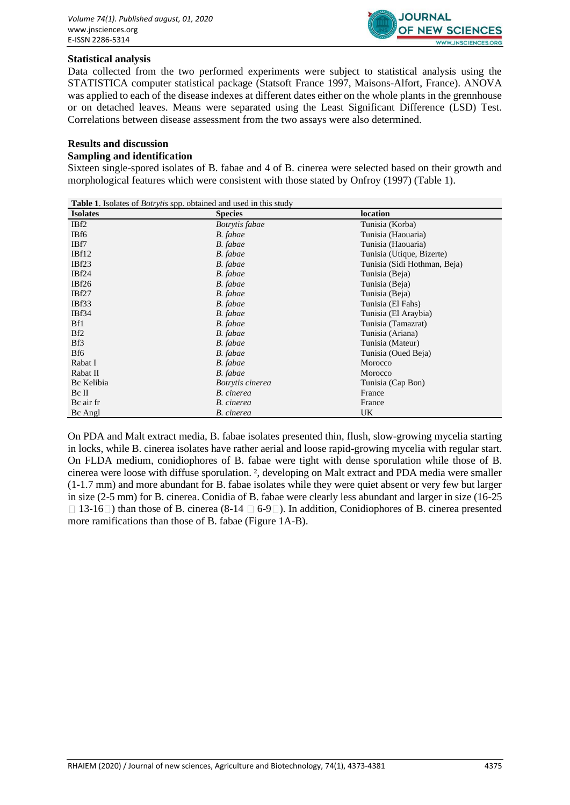

#### **Statistical analysis**

Data collected from the two performed experiments were subject to statistical analysis using the STATISTICA computer statistical package (Statsoft France 1997, Maisons-Alfort, France). ANOVA was applied to each of the disease indexes at different dates either on the whole plants in the grennhouse or on detached leaves. Means were separated using the Least Significant Difference (LSD) Test. Correlations between disease assessment from the two assays were also determined.

#### **Results and discussion**

## **Sampling and identification**

Sixteen single-spored isolates of B. fabae and 4 of B. cinerea were selected based on their growth and morphological features which were consistent with those stated by Onfroy (1997) (Table 1).

| <b>Table 1.</b> Isolates of <i>Botrytis</i> spp. obtained and used in this study |                  |                              |  |  |  |  |
|----------------------------------------------------------------------------------|------------------|------------------------------|--|--|--|--|
| <b>Isolates</b>                                                                  | <b>Species</b>   | location                     |  |  |  |  |
| IB <sub>f2</sub>                                                                 | Botrytis fabae   | Tunisia (Korba)              |  |  |  |  |
| IBf6                                                                             | B. fabae         | Tunisia (Haouaria)           |  |  |  |  |
| IBf7                                                                             | B. fabae         | Tunisia (Haouaria)           |  |  |  |  |
| IBf12                                                                            | B. fabae         | Tunisia (Utique, Bizerte)    |  |  |  |  |
| IBf23                                                                            | B. fabae         | Tunisia (Sidi Hothman, Beja) |  |  |  |  |
| IBf <sub>24</sub>                                                                | B. fabae         | Tunisia (Beja)               |  |  |  |  |
| IBf26                                                                            | B. fabae         | Tunisia (Beja)               |  |  |  |  |
| IBf27                                                                            | B. fabae         | Tunisia (Beja)               |  |  |  |  |
| IBf33                                                                            | B. fabae         | Tunisia (El Fahs)            |  |  |  |  |
| IBf34                                                                            | B. fabae         | Tunisia (El Araybia)         |  |  |  |  |
| Bf1                                                                              | B. fabae         | Tunisia (Tamazrat)           |  |  |  |  |
| Bf <sub>2</sub>                                                                  | B. fabae         | Tunisia (Ariana)             |  |  |  |  |
| Bf3                                                                              | B. fabae         | Tunisia (Mateur)             |  |  |  |  |
| Bf6                                                                              | B. fabae         | Tunisia (Oued Beja)          |  |  |  |  |
| Rabat I                                                                          | B. fabae         | Morocco                      |  |  |  |  |
| Rabat II                                                                         | B. fabae         | Morocco                      |  |  |  |  |
| Bc Kelibia                                                                       | Botrytis cinerea | Tunisia (Cap Bon)            |  |  |  |  |
| Bc II                                                                            | B. cinerea       | France                       |  |  |  |  |
| Bc air fr                                                                        | B. cinerea       | France                       |  |  |  |  |
| Bc Angl                                                                          | B. cinerea       | UK                           |  |  |  |  |

On PDA and Malt extract media, B. fabae isolates presented thin, flush, slow-growing mycelia starting in locks, while B. cinerea isolates have rather aerial and loose rapid-growing mycelia with regular start. On FLDA medium, conidiophores of B. fabae were tight with dense sporulation while those of B. cinerea were loose with diffuse sporulation. ², developing on Malt extract and PDA media were smaller (1-1.7 mm) and more abundant for B. fabae isolates while they were quiet absent or very few but larger in size (2-5 mm) for B. cinerea. Conidia of B. fabae were clearly less abundant and larger in size (16-25  $\Box$  13-16 $\Box$ ) than those of B. cinerea (8-14  $\Box$  6-9 $\Box$ ). In addition, Conidiophores of B. cinerea presented more ramifications than those of B. fabae (Figure 1A-B).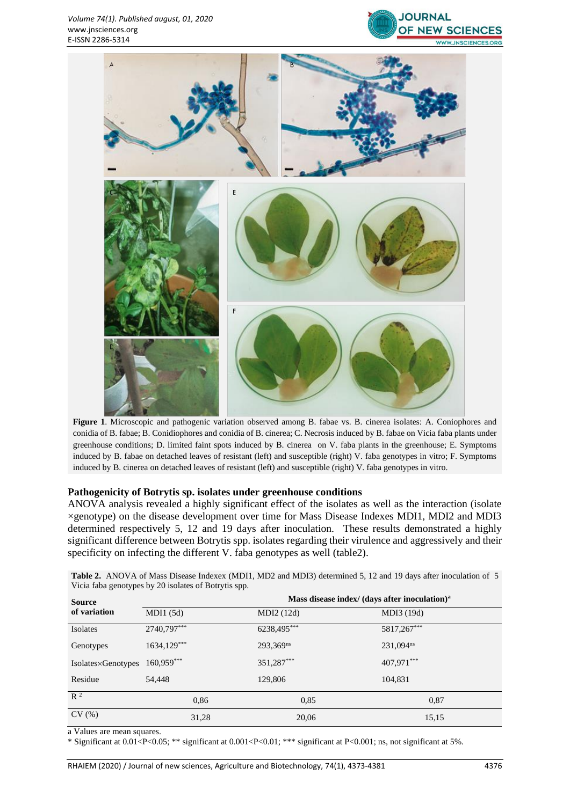



**Figure 1**. Microscopic and pathogenic variation observed among B. fabae vs. B. cinerea isolates: A. Coniophores and conidia of B. fabae; B. Conidiophores and conidia of B. cinerea; C. Necrosis induced by B. fabae on Vicia faba plants under greenhouse conditions; D. limited faint spots induced by B. cinerea on V. faba plants in the greenhouse; E. Symptoms induced by B. fabae on detached leaves of resistant (left) and susceptible (right) V. faba genotypes in vitro; F. Symptoms induced by B. cinerea on detached leaves of resistant (left) and susceptible (right) V. faba genotypes in vitro.

#### **Pathogenicity of Botrytis sp. isolates under greenhouse conditions**

ANOVA analysis revealed a highly significant effect of the isolates as well as the interaction (isolate ×genotype) on the disease development over time for Mass Disease Indexes MDI1, MDI2 and MDI3 determined respectively 5, 12 and 19 days after inoculation. These results demonstrated a highly significant difference between Botrytis spp. isolates regarding their virulence and aggressively and their specificity on infecting the different V. faba genotypes as well (table2).

| <b>Source</b>      | Mass disease index/ (days after inoculation) <sup>a</sup> |             |                       |  |  |  |
|--------------------|-----------------------------------------------------------|-------------|-----------------------|--|--|--|
| of variation       | MDI1(5d)                                                  | MDI2 (12d)  | MDI3 (19d)            |  |  |  |
| Isolates           | 2740,797***                                               | 6238,495*** | 5817,267***           |  |  |  |
| Genotypes          | $1634,129***$                                             | 293.369ns   | 231,094 <sup>ns</sup> |  |  |  |
| Isolates×Genotypes | $160,959***$                                              | 351,287***  | 407,971***            |  |  |  |
| Residue            | 54,448                                                    | 129,806     | 104,831               |  |  |  |
| $R^2$              | 0,86                                                      | 0.85        | 0,87                  |  |  |  |
| CV(%)              | 31,28                                                     | 20,06       | 15,15                 |  |  |  |

**Table 2.** ANOVA of Mass Disease Indexex (MDI1, MD2 and MDI3) determined 5, 12 and 19 days after inoculation of 5 Vicia faba genotypes by 20 isolates of Botrytis spp.

a Values are mean squares.

\* Significant at 0.01<P<0.05; \*\* significant at 0.001<P<0.01; \*\*\* significant at P<0.001; ns, not significant at 5%.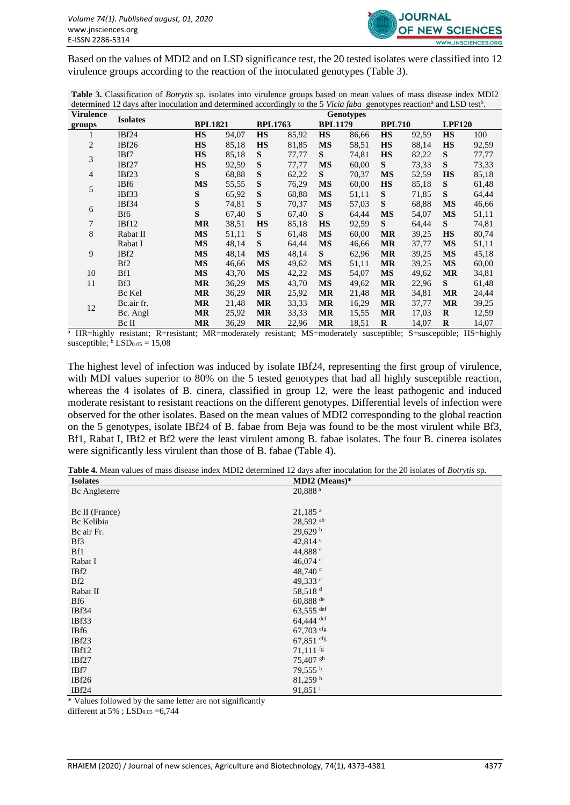

Based on the values of MDI2 and on LSD significance test, the 20 tested isolates were classified into 12 virulence groups according to the reaction of the inoculated genotypes (Table 3).

**Table 3.** Classification of *Botrytis* sp*.* isolates into virulence groups based on mean values of mass disease index MDI2 determined 12 days after inoculation and determined accordingly to the 5 *Vicia faba* genotypes reaction<sup>a</sup> and LSD test<sup>b</sup>.

| <b>Virulence</b> | <b>Isolates</b>   | <b>Genotypes</b> |       |           |                                  |           |               |           |               |           |       |
|------------------|-------------------|------------------|-------|-----------|----------------------------------|-----------|---------------|-----------|---------------|-----------|-------|
| groups           |                   | <b>BPL1821</b>   |       |           | <b>BPL1763</b><br><b>BPL1179</b> |           | <b>BPL710</b> |           | <b>LPF120</b> |           |       |
| 1                | IBf <sub>24</sub> | <b>HS</b>        | 94,07 | <b>HS</b> | 85,92                            | <b>HS</b> | 86,66         | <b>HS</b> | 92,59         | <b>HS</b> | 100   |
| 2                | IBf26             | <b>HS</b>        | 85,18 | <b>HS</b> | 81,85                            | <b>MS</b> | 58,51         | <b>HS</b> | 88,14         | <b>HS</b> | 92,59 |
| 3                | IBf7              | <b>HS</b>        | 85,18 | S         | 77,77                            | S         | 74,81         | <b>HS</b> | 82,22         | S         | 77,77 |
|                  | IBf27             | <b>HS</b>        | 92,59 | S         | 77,77                            | <b>MS</b> | 60,00         | S         | 73,33         | S         | 73,33 |
| $\overline{4}$   | IBf23             | S                | 68,88 | S         | 62,22                            | S         | 70,37         | <b>MS</b> | 52,59         | <b>HS</b> | 85,18 |
| 5                | IBf6              | <b>MS</b>        | 55,55 | S         | 76,29                            | <b>MS</b> | 60,00         | <b>HS</b> | 85,18         | S         | 61,48 |
|                  | IBf33             | S                | 65,92 | S         | 68,88                            | <b>MS</b> | 51,11         | S         | 71,85         | S         | 64,44 |
|                  | IBf34             | ${\bf S}$        | 74,81 | S         | 70,37                            | <b>MS</b> | 57,03         | S         | 68,88         | <b>MS</b> | 46,66 |
| 6                | Bf <sub>6</sub>   | ${\bf S}$        | 67,40 | S         | 67,40                            | S         | 64,44         | <b>MS</b> | 54,07         | <b>MS</b> | 51,11 |
| $\tau$           | IBf12             | <b>MR</b>        | 38,51 | <b>HS</b> | 85,18                            | <b>HS</b> | 92,59         | S         | 64,44         | S         | 74,81 |
| 8                | Rabat II          | <b>MS</b>        | 51,11 | S         | 61,48                            | <b>MS</b> | 60,00         | <b>MR</b> | 39,25         | <b>HS</b> | 80,74 |
|                  | Rabat I           | <b>MS</b>        | 48,14 | S         | 64,44                            | <b>MS</b> | 46,66         | <b>MR</b> | 37,77         | <b>MS</b> | 51,11 |
| 9                | IBf2              | <b>MS</b>        | 48,14 | <b>MS</b> | 48,14                            | S         | 62,96         | <b>MR</b> | 39,25         | <b>MS</b> | 45,18 |
|                  | Bf <sub>2</sub>   | <b>MS</b>        | 46,66 | <b>MS</b> | 49,62                            | <b>MS</b> | 51,11         | <b>MR</b> | 39,25         | <b>MS</b> | 60,00 |
| 10               | Bf1               | <b>MS</b>        | 43,70 | <b>MS</b> | 42,22                            | <b>MS</b> | 54,07         | <b>MS</b> | 49,62         | <b>MR</b> | 34,81 |
| 11               | Bf3               | <b>MR</b>        | 36,29 | <b>MS</b> | 43,70                            | <b>MS</b> | 49,62         | <b>MR</b> | 22,96         | S         | 61,48 |
|                  | Bc Kel            | <b>MR</b>        | 36,29 | <b>MR</b> | 25,92                            | <b>MR</b> | 21,48         | <b>MR</b> | 34,81         | <b>MR</b> | 24,44 |
| 12               | Bc.air fr.        | <b>MR</b>        | 21,48 | <b>MR</b> | 33,33                            | <b>MR</b> | 16,29         | <b>MR</b> | 37,77         | <b>MR</b> | 39,25 |
|                  | Bc. Angl          | <b>MR</b>        | 25,92 | <b>MR</b> | 33,33                            | <b>MR</b> | 15,55         | <b>MR</b> | 17,03         | R         | 12,59 |
|                  | Bc II             | <b>MR</b>        | 36,29 | <b>MR</b> | 22,96                            | <b>MR</b> | 18.51         | $\bf{R}$  | 14,07         | $\bf{R}$  | 14,07 |

 $\frac{a}{b}$  HR=highly resistant; R=resistant; MR=moderately resistant; MS=moderately susceptible; S=susceptible; HS=highly susceptible;  $\frac{b}{c}$  LSD<sub>0.05</sub> = 15,08

The highest level of infection was induced by isolate IBf24, representing the first group of virulence, with MDI values superior to 80% on the 5 tested genotypes that had all highly susceptible reaction, whereas the 4 isolates of B. cinera, classified in group 12, were the least pathogenic and induced moderate resistant to resistant reactions on the different genotypes. Differential levels of infection were observed for the other isolates. Based on the mean values of MDI2 corresponding to the global reaction on the 5 genotypes, isolate IBf24 of B. fabae from Beja was found to be the most virulent while Bf3, Bf1, Rabat I, IBf2 et Bf2 were the least virulent among B. fabae isolates. The four B. cinerea isolates were significantly less virulent than those of B. fabae (Table 4).

**Table 4.** Mean values of mass disease index MDI2 determined 12 days after inoculation for the 20 isolates of *Botrytis* sp*.*

| <b>Isolates</b> | MDI2 (Means) $*$       |
|-----------------|------------------------|
| Bc Angleterre   | 20,888 <sup>a</sup>    |
|                 |                        |
| Bc II (France)  | $21,185$ <sup>a</sup>  |
| Bc Kelibia      | 28,592 ab              |
| Bc air Fr.      | $29,629$ b             |
| Bf3             | 42,814 $\degree$       |
| Bf1             | 44,888 c               |
| Rabat I         | 46,074 $\degree$       |
| IBf2            | 48,740 $\degree$       |
| Bf <sub>2</sub> | 49,333 c               |
| Rabat II        | 58,518 <sup>d</sup>    |
| Bf6             | $60,888$ <sup>de</sup> |
| IBf34           | $63,555$ def           |
| IBf33           | $64,444$ def           |
| IBf6            | $67,703$ efg           |
| IBf23           | $67,851$ efg           |
| IBf12           | $71,111$ fg            |
| IBf27           | 75,407 gh              |
| IBf7            | 79,555 h               |
| IBf26           | 81,259h                |
| IBf24           | 91,851 <sup>i</sup>    |

\* Values followed by the same letter are not significantly

different at  $5\%$ ; LSD $_{0.05}$  =6,744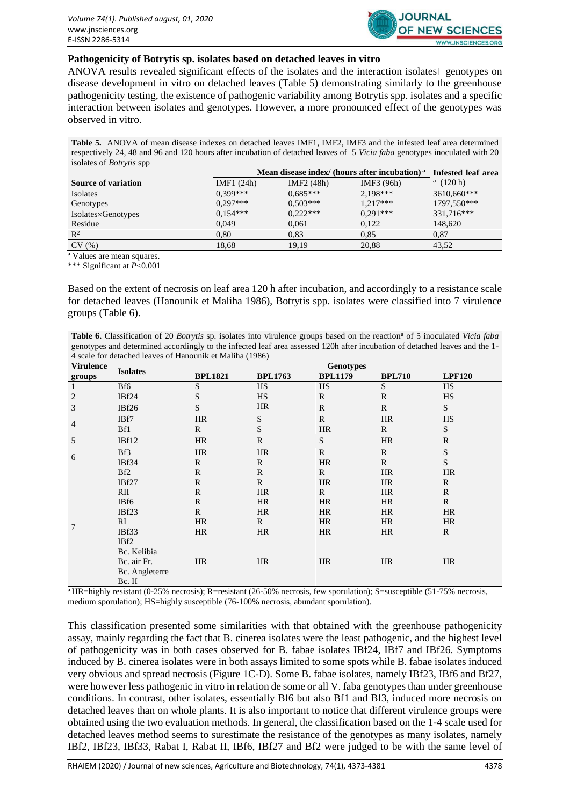

#### **Pathogenicity of Botrytis sp. isolates based on detached leaves in vitro**

ANOVA results revealed significant effects of the isolates and the interaction isolates genotypes on disease development in vitro on detached leaves (Table 5) demonstrating similarly to the greenhouse pathogenicity testing, the existence of pathogenic variability among Botrytis spp. isolates and a specific interaction between isolates and genotypes. However, a more pronounced effect of the genotypes was observed in vitro.

**Table 5.** ANOVA of mean disease indexes on detached leaves IMF1, IMF2, IMF3 and the infested leaf area determined respectively 24, 48 and 96 and 120 hours after incubation of detached leaves of 5 *Vicia faba* genotypes inoculated with 20 isolates of *Botrytis* spp

|                            | Mean disease index/ (hours after incubation) <sup>a</sup> | Infested leaf area     |            |             |
|----------------------------|-----------------------------------------------------------|------------------------|------------|-------------|
| <b>Source of variation</b> | IMF1 (24h)                                                | IMF <sub>2</sub> (48h) | IMF3 (96h) | (120 h)     |
| Isolates                   | $0.399***$                                                | $0.685***$             | 2,198***   | 3610,660*** |
| Genotypes                  | $0.297***$                                                | $0.503***$             | $1.217***$ | 1797,550*** |
| Isolates×Genotypes         | $0.154***$                                                | $0,222***$             | $0.291***$ | 331,716***  |
| Residue                    | 0.049                                                     | 0,061                  | 0,122      | 148,620     |
| $\mathbb{R}^2$             | 0.80                                                      | 0.83                   | 0,85       | 0.87        |
| CV(%)                      | 18.68                                                     | 19.19                  | 20,88      | 43,52       |

<sup>a</sup> Values are mean squares.

\*\*\* Significant at *P*<0.001

Based on the extent of necrosis on leaf area 120 h after incubation, and accordingly to a resistance scale for detached leaves (Hanounik et Maliha 1986), Botrytis spp. isolates were classified into 7 virulence groups (Table 6).

**Table 6.** Classification of 20 *Botrytis* sp. isolates into virulence groups based on the reaction<sup>a</sup> of 5 inoculated *Vicia faba* genotypes and determined accordingly to the infected leaf area assessed 120h after incubation of detached leaves and the 1- 4 scale for detached leaves of Hanounik et Maliha (1986)

| <b>Virulence</b> | <b>Isolates</b>   | <b>Genotypes</b> |                |                |               |               |
|------------------|-------------------|------------------|----------------|----------------|---------------|---------------|
| groups           |                   | <b>BPL1821</b>   | <b>BPL1763</b> | <b>BPL1179</b> | <b>BPL710</b> | <b>LPF120</b> |
| 1                | Bf6               | $\mathbf S$      | <b>HS</b>      | <b>HS</b>      | S             | <b>HS</b>     |
| 2                | IBf <sub>24</sub> | ${\bf S}$        | <b>HS</b>      | $\mathbf R$    | $\mathbb{R}$  | HS            |
| 3                | IBf26             | S                | HR             | $\mathbb{R}$   | $\mathbf R$   | S             |
| $\overline{4}$   | IBf7              | <b>HR</b>        | S              | $\mathbb{R}$   | <b>HR</b>     | <b>HS</b>     |
|                  | Bf1               | $\mathbb{R}$     | ${\bf S}$      | <b>HR</b>      | $\mathbf{R}$  | S             |
| 5                | IBf12             | HR               | $\mathbb{R}$   | ${\bf S}$      | HR            | $\mathbf R$   |
|                  | Bf3               | <b>HR</b>        | <b>HR</b>      | $\mathbb{R}$   | $\mathbf R$   | ${\bf S}$     |
| 6                | IBf34             | $\mathbb{R}$     | R              | <b>HR</b>      | $\mathbb{R}$  | S             |
|                  | Bf <sub>2</sub>   | $\mathbb{R}$     | $\mathbb{R}$   | $\mathbf{R}$   | <b>HR</b>     | HR            |
|                  | IBf27             | $\mathbb{R}$     | $\mathbb{R}$   | <b>HR</b>      | <b>HR</b>     | $\mathbf{R}$  |
|                  | RII               | $\mathbb{R}$     | HR             | $\mathbf{R}$   | HR            | $\mathbb{R}$  |
|                  | IBf6              | $\mathbb{R}$     | <b>HR</b>      | <b>HR</b>      | <b>HR</b>     | $\mathbb{R}$  |
|                  | IBf23             | $\mathbb{R}$     | <b>HR</b>      | <b>HR</b>      | HR            | HR            |
| 7                | RI                | HR               | $\mathbf{R}$   | HR             | HR            | <b>HR</b>     |
|                  | IBf33             | HR               | <b>HR</b>      | HR             | <b>HR</b>     | $\mathbf R$   |
|                  | IBf2              |                  |                |                |               |               |
|                  | Bc. Kelibia       |                  |                |                |               |               |
|                  | Bc. air Fr.       | HR               | <b>HR</b>      | <b>HR</b>      | HR            | HR            |
|                  | Bc. Angleterre    |                  |                |                |               |               |
|                  | Bc. II            |                  |                |                |               |               |

 $\frac{1}{4}$ HR=highly resistant (0-25% necrosis); R=resistant (26-50% necrosis, few sporulation); S=susceptible (51-75% necrosis, medium sporulation); HS=highly susceptible (76-100% necrosis, abundant sporulation).

This classification presented some similarities with that obtained with the greenhouse pathogenicity assay, mainly regarding the fact that B. cinerea isolates were the least pathogenic, and the highest level of pathogenicity was in both cases observed for B. fabae isolates IBf24, IBf7 and IBf26. Symptoms induced by B. cinerea isolates were in both assays limited to some spots while B. fabae isolates induced very obvious and spread necrosis (Figure 1C-D). Some B. fabae isolates, namely IBf23, IBf6 and Bf27, were however less pathogenic in vitro in relation de some or all V. faba genotypes than under greenhouse conditions. In contrast, other isolates, essentially Bf6 but also Bf1 and Bf3, induced more necrosis on detached leaves than on whole plants. It is also important to notice that different virulence groups were obtained using the two evaluation methods. In general, the classification based on the 1-4 scale used for detached leaves method seems to surestimate the resistance of the genotypes as many isolates, namely IBf2, IBf23, IBf33, Rabat I, Rabat II, IBf6, IBf27 and Bf2 were judged to be with the same level of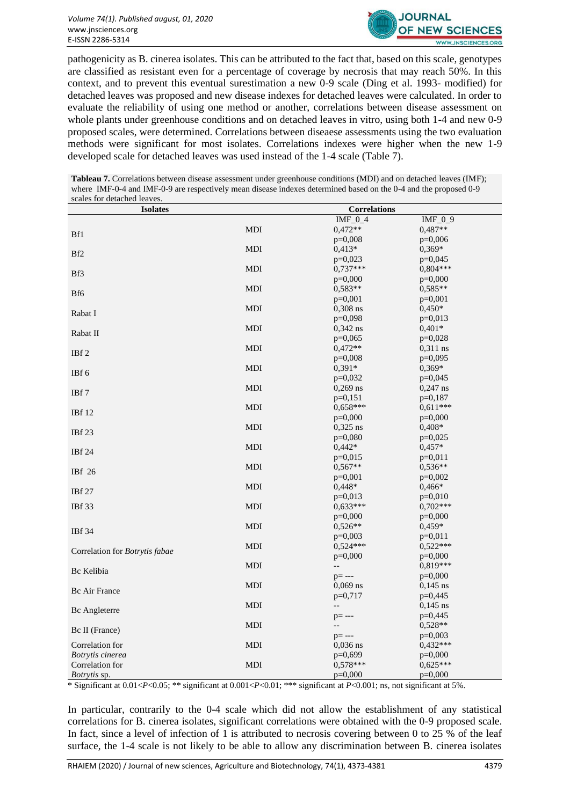

pathogenicity as B. cinerea isolates. This can be attributed to the fact that, based on this scale, genotypes are classified as resistant even for a percentage of coverage by necrosis that may reach 50%. In this context, and to prevent this eventual surestimation a new 0-9 scale (Ding et al. 1993- modified) for detached leaves was proposed and new disease indexes for detached leaves were calculated. In order to evaluate the reliability of using one method or another, correlations between disease assessment on whole plants under greenhouse conditions and on detached leaves in vitro, using both 1-4 and new 0-9 proposed scales, were determined. Correlations between diseaese assessments using the two evaluation methods were significant for most isolates. Correlations indexes were higher when the new 1-9 developed scale for detached leaves was used instead of the 1-4 scale (Table 7).

**Tableau 7.** Correlations between disease assessment under greenhouse conditions (MDI) and on detached leaves (IMF); where IMF-0-4 and IMF-0-9 are respectively mean disease indexes determined based on the 0-4 and the proposed 0-9 scales for detached leaves.

| scaics for detaction icaves.<br><b>Isolates</b> |            | <b>Correlations</b>      |                       |
|-------------------------------------------------|------------|--------------------------|-----------------------|
|                                                 |            | $IMF_0_4$                | IMF $09$              |
|                                                 | <b>MDI</b> | $0,472**$                | 0,487**               |
| Bf1                                             |            | $p=0,008$                | $p=0,006$             |
|                                                 | <b>MDI</b> | $0,413*$                 | $0,369*$              |
| Bf2                                             |            | $p=0,023$                | $p=0,045$             |
|                                                 | <b>MDI</b> | $0,737***$               | $0.804***$            |
| Bf3                                             |            | $p=0,000$                | $p=0,000$             |
|                                                 | <b>MDI</b> | $0,583**$                | $0.585**$             |
| Bf6                                             |            | $p=0,001$                | $p=0,001$             |
| Rabat I                                         | <b>MDI</b> | $0,308$ ns               | $0,450*$              |
|                                                 |            | $p=0,098$                | $p=0,013$             |
| Rabat II                                        | <b>MDI</b> | $0,342$ ns               | $0,401*$              |
|                                                 |            | $p=0,065$                | $p=0,028$             |
| IBf <sub>2</sub>                                | <b>MDI</b> | $0,472**$                | $0.311$ ns            |
|                                                 |            | $p=0,008$                | $p=0.095$             |
| IBf 6                                           | <b>MDI</b> | $0.391*$                 | $0,369*$              |
|                                                 |            | $p=0,032$                | $p=0,045$             |
| IBf 7                                           | <b>MDI</b> | $0,269$ ns               | $0,247$ ns            |
|                                                 |            | $p=0,151$                | $p=0.187$             |
| <b>IBf</b> 12                                   | <b>MDI</b> | $0.658***$               | $0.611***$            |
|                                                 |            | $p=0,000$                | $p=0,000$             |
| IBf 23                                          | MDI        | $0,325$ ns               | $0,408*$              |
|                                                 |            | $p=0,080$                | $p=0,025$             |
| <b>IBf</b> 24                                   | <b>MDI</b> | $0,442*$                 | $0,457*$              |
|                                                 |            | $p=0,015$                | $p=0,011$             |
| IBf 26                                          | <b>MDI</b> | $0,567**$                | $0.536**$             |
|                                                 |            | $p=0,001$                | $p=0,002$             |
| <b>IBf</b> 27                                   | <b>MDI</b> | $0.448*$                 | $0,466*$              |
|                                                 |            | $p=0,013$                | $p=0,010$             |
| <b>IBf</b> 33                                   | <b>MDI</b> | $0.633***$               | $0.702***$            |
|                                                 |            | $p=0,000$                | $p=0,000$             |
| <b>IBf</b> 34                                   | <b>MDI</b> | $0.526**$<br>$p=0,003$   | $0,459*$<br>$p=0,011$ |
|                                                 | <b>MDI</b> | $0.524***$               | $0,522***$            |
| Correlation for Botrytis fabae                  |            | $p=0,000$                | $p=0,000$             |
|                                                 | <b>MDI</b> | $\overline{\phantom{m}}$ | $0.819***$            |
| Bc Kelibia                                      |            | $p = - -$                | $p=0,000$             |
|                                                 | $MDI$      | $0,069$ ns               | $0,145$ ns            |
| Bc Air France                                   |            | $p=0,717$                | $p=0,445$             |
|                                                 | <b>MDI</b> | $\overline{\phantom{a}}$ | $0,145$ ns            |
| Bc Angleterre                                   |            | $p = - -$                | $p=0,445$             |
|                                                 | <b>MDI</b> | --                       | $0.528**$             |
| Bc II (France)                                  |            | $p=---$                  | $p=0,003$             |
| Correlation for                                 | MDI        | $0,036$ ns               | $0,432***$            |
| <b>Botrytis</b> cinerea                         |            | $p=0,699$                | $p=0,000$             |
| Correlation for                                 | <b>MDI</b> | $0.578***$               | $0.625***$            |
| <i>Botrytis</i> sp.                             |            | $p=0,000$                | $p=0,000$             |

\* Significant at 0.01<*P*<0.05; \*\* significant at 0.001<*P*<0.01; \*\*\* significant at *P*<0.001; ns, not significant at 5%.

In particular, contrarily to the 0-4 scale which did not allow the establishment of any statistical correlations for B. cinerea isolates, significant correlations were obtained with the 0-9 proposed scale. In fact, since a level of infection of 1 is attributed to necrosis covering between 0 to 25 % of the leaf surface, the 1-4 scale is not likely to be able to allow any discrimination between B. cinerea isolates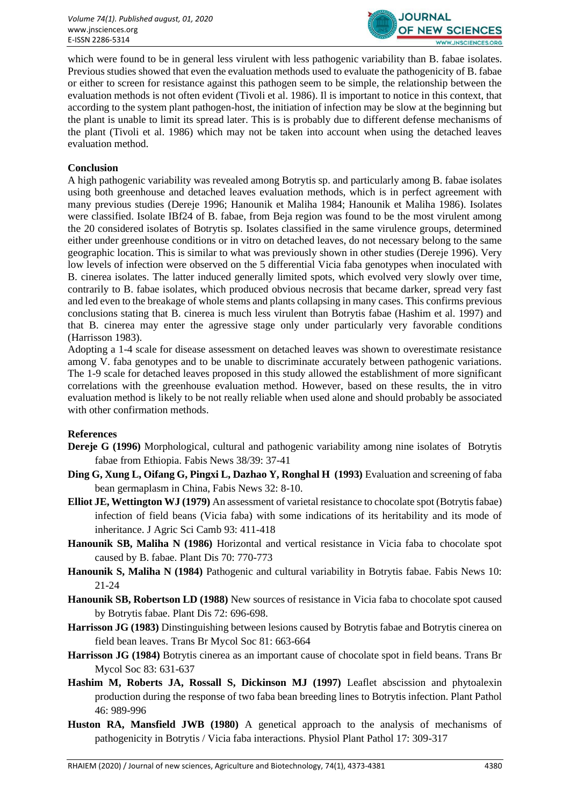

which were found to be in general less virulent with less pathogenic variability than B. fabae isolates. Previous studies showed that even the evaluation methods used to evaluate the pathogenicity of B. fabae or either to screen for resistance against this pathogen seem to be simple, the relationship between the evaluation methods is not often evident (Tivoli et al. 1986). Il is important to notice in this context, that according to the system plant pathogen-host, the initiation of infection may be slow at the beginning but the plant is unable to limit its spread later. This is is probably due to different defense mechanisms of the plant (Tivoli et al. 1986) which may not be taken into account when using the detached leaves evaluation method.

## **Conclusion**

A high pathogenic variability was revealed among Botrytis sp. and particularly among B. fabae isolates using both greenhouse and detached leaves evaluation methods, which is in perfect agreement with many previous studies (Dereje 1996; Hanounik et Maliha 1984; Hanounik et Maliha 1986). Isolates were classified. Isolate IBf24 of B. fabae, from Beja region was found to be the most virulent among the 20 considered isolates of Botrytis sp. Isolates classified in the same virulence groups, determined either under greenhouse conditions or in vitro on detached leaves, do not necessary belong to the same geographic location. This is similar to what was previously shown in other studies (Dereje 1996). Very low levels of infection were observed on the 5 differential Vicia faba genotypes when inoculated with B. cinerea isolates. The latter induced generally limited spots, which evolved very slowly over time, contrarily to B. fabae isolates, which produced obvious necrosis that became darker, spread very fast and led even to the breakage of whole stems and plants collapsing in many cases. This confirms previous conclusions stating that B. cinerea is much less virulent than Botrytis fabae (Hashim et al. 1997) and that B. cinerea may enter the agressive stage only under particularly very favorable conditions (Harrisson 1983).

Adopting a 1-4 scale for disease assessment on detached leaves was shown to overestimate resistance among V. faba genotypes and to be unable to discriminate accurately between pathogenic variations. The 1-9 scale for detached leaves proposed in this study allowed the establishment of more significant correlations with the greenhouse evaluation method. However, based on these results, the in vitro evaluation method is likely to be not really reliable when used alone and should probably be associated with other confirmation methods.

#### **References**

- **Dereje G (1996)** Morphological, cultural and pathogenic variability among nine isolates of Botrytis fabae from Ethiopia. Fabis News 38/39: 37-41
- **Ding G, Xung L, Oifang G, Pingxi L, Dazhao Y, Ronghal H (1993)** Evaluation and screening of faba bean germaplasm in China, Fabis News 32: 8-10.
- **Elliot JE, Wettington WJ (1979)** An assessment of varietal resistance to chocolate spot (Botrytis fabae) infection of field beans (Vicia faba) with some indications of its heritability and its mode of inheritance. J Agric Sci Camb 93: 411-418
- **Hanounik SB, Maliha N (1986)** Horizontal and vertical resistance in Vicia faba to chocolate spot caused by B. fabae. Plant Dis 70: 770-773
- **Hanounik S, Maliha N (1984)** Pathogenic and cultural variability in Botrytis fabae. Fabis News 10: 21-24
- **Hanounik SB, Robertson LD (1988)** New sources of resistance in Vicia faba to chocolate spot caused by Botrytis fabae. Plant Dis 72: 696-698.
- **Harrisson JG (1983)** Dinstinguishing between lesions caused by Botrytis fabae and Botrytis cinerea on field bean leaves. Trans Br Mycol Soc 81: 663-664
- **Harrisson JG (1984)** Botrytis cinerea as an important cause of chocolate spot in field beans. Trans Br Mycol Soc 83: 631-637
- **Hashim M, Roberts JA, Rossall S, Dickinson MJ (1997)** Leaflet abscission and phytoalexin production during the response of two faba bean breeding lines to Botrytis infection. Plant Pathol 46: 989-996
- **Huston RA, Mansfield JWB (1980)** A genetical approach to the analysis of mechanisms of pathogenicity in Botrytis / Vicia faba interactions. Physiol Plant Pathol 17: 309-317